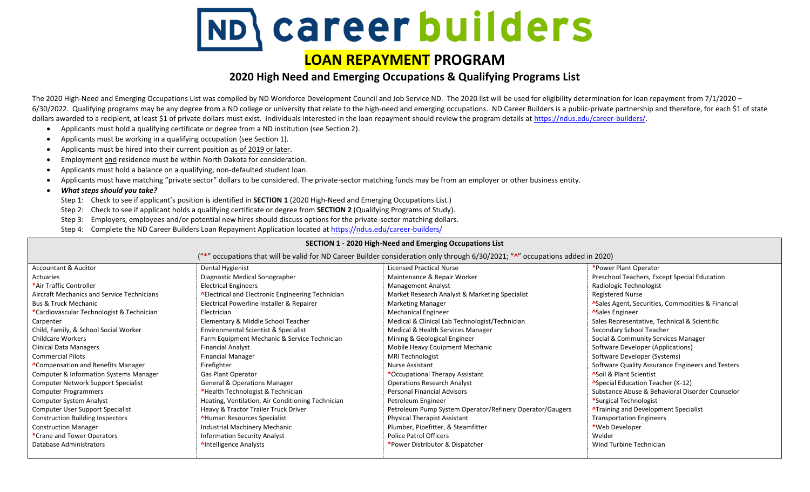## **\careerbuilders**

## **LOAN REPAYMENT PROGRAM**

## **2020 High Need and Emerging Occupations & Qualifying Programs List**

The 2020 High-Need and Emerging Occupations List was compiled by ND Workforce Development Council and Job Service ND. The 2020 list will be used for eligibility determination for loan repayment from 7/1/2020 – 6/30/2022. Qualifying programs may be any degree from a ND college or university that relate to the high-need and emerging occupations. ND Career Builders is a public-private partnership and therefore, for each \$1 of state dollars awarded to a recipient, at least \$1 of private dollars must exist. Individuals interested in the loan repayment should review the program details at https://ndus.edu/career-builders/.

- Applicants must hold a qualifying certificate or degree from a ND institution (see Section 2).
- Applicants must be working in a qualifying occupation (see Section 1).
- Applicants must be hired into their current position as of 2019 or later.
- Employment and residence must be within North Dakota for consideration.
- Applicants must hold a balance on a qualifying, non-defaulted student loan.
- Applicants must have matching "private sector" dollars to be considered. The private-sector matching funds may be from an employer or other business entity.
- *What steps should you take?* 
	- Step 1: Check to see if applicant's position is identified in **SECTION 1** (2020 High-Need and Emerging Occupations List.)
	- Step 2: Check to see if applicant holds a qualifying certificate or degree from **SECTION 2** (Qualifying Programs of Study).
	- Step 3: Employers, employees and/or potential new hires should discuss options for the private-sector matching dollars.
	- Step 4: Complete the ND Career Builders Loan Repayment Application located at<https://ndus.edu/career-builders/>

| SECTION 1 - 2020 High-Need and Emerging Occupations List                                                                           |                                                    |                                                          |                                                   |  |  |  |  |
|------------------------------------------------------------------------------------------------------------------------------------|----------------------------------------------------|----------------------------------------------------------|---------------------------------------------------|--|--|--|--|
| ("*" occupations that will be valid for ND Career Builder consideration only through 6/30/2021; " $N$ " occupations added in 2020) |                                                    |                                                          |                                                   |  |  |  |  |
| Accountant & Auditor                                                                                                               | Dental Hygienist                                   | <b>Licensed Practical Nurse</b>                          | *Power Plant Operator                             |  |  |  |  |
| Actuaries                                                                                                                          | Diagnostic Medical Sonographer                     | Maintenance & Repair Worker                              | Preschool Teachers, Except Special Education      |  |  |  |  |
| *Air Traffic Controller                                                                                                            | <b>Electrical Engineers</b>                        | <b>Management Analyst</b>                                | Radiologic Technologist                           |  |  |  |  |
| Aircraft Mechanics and Service Technicians                                                                                         | A Electrical and Electronic Engineering Technician | Market Research Analyst & Marketing Specialist           | <b>Registered Nurse</b>                           |  |  |  |  |
| <b>Bus &amp; Truck Mechanic</b>                                                                                                    | Electrical Powerline Installer & Repairer          | <b>Marketing Manager</b>                                 | ASales Agent, Securities, Commodities & Financial |  |  |  |  |
| *Cardiovascular Technologist & Technician                                                                                          | Electrician                                        | <b>Mechanical Engineer</b>                               | <b>ASales Engineer</b>                            |  |  |  |  |
| Carpenter                                                                                                                          | Elementary & Middle School Teacher                 | Medical & Clinical Lab Technologist/Technician           | Sales Representative, Technical & Scientific      |  |  |  |  |
| Child, Family, & School Social Worker                                                                                              | Environmental Scientist & Specialist               | Medical & Health Services Manager                        | Secondary School Teacher                          |  |  |  |  |
| <b>Childcare Workers</b>                                                                                                           | Farm Equipment Mechanic & Service Technician       | Mining & Geological Engineer                             | Social & Community Services Manager               |  |  |  |  |
| Clinical Data Managers                                                                                                             | <b>Financial Analyst</b>                           | Mobile Heavy Equipment Mechanic                          | Software Developer (Applications)                 |  |  |  |  |
| <b>Commercial Pilots</b>                                                                                                           | <b>Financial Manager</b>                           | <b>MRI Technologist</b>                                  | Software Developer (Systems)                      |  |  |  |  |
| <b>ACompensation and Benefits Manager</b>                                                                                          | Firefighter                                        | <b>Nurse Assistant</b>                                   | Software Quality Assurance Engineers and Testers  |  |  |  |  |
| <b>Computer &amp; Information Systems Manager</b>                                                                                  | <b>Gas Plant Operator</b>                          | *Occupational Therapy Assistant                          | <b>ASoil &amp; Plant Scientist</b>                |  |  |  |  |
| <b>Computer Network Support Specialist</b>                                                                                         | <b>General &amp; Operations Manager</b>            | <b>Operations Research Analyst</b>                       | <b>ASpecial Education Teacher (K-12)</b>          |  |  |  |  |
| <b>Computer Programmers</b>                                                                                                        | *Health Technologist & Technician                  | <b>Personal Financial Advisors</b>                       | Substance Abuse & Behavioral Disorder Counselor   |  |  |  |  |
| <b>Computer System Analyst</b>                                                                                                     | Heating, Ventilation, Air Conditioning Technician  | Petroleum Engineer                                       | *Surgical Technologist                            |  |  |  |  |
| Computer User Support Specialist                                                                                                   | Heavy & Tractor Trailer Truck Driver               | Petroleum Pump System Operator/Refinery Operator/Gaugers | <b>ATraining and Development Specialist</b>       |  |  |  |  |
| <b>Construction Building Inspectors</b>                                                                                            | <b>AHuman Resources Specialist</b>                 | Physical Therapist Assistant                             | <b>Transportation Engineers</b>                   |  |  |  |  |
| <b>Construction Manager</b>                                                                                                        | Industrial Machinery Mechanic                      | Plumber, Pipefitter, & Steamfitter                       | *Web Developer                                    |  |  |  |  |
| *Crane and Tower Operators                                                                                                         | <b>Information Security Analyst</b>                | <b>Police Patrol Officers</b>                            | Welder                                            |  |  |  |  |
| Database Administrators                                                                                                            | AIntelligence Analysts                             | *Power Distributor & Dispatcher                          | Wind Turbine Technician                           |  |  |  |  |
|                                                                                                                                    |                                                    |                                                          |                                                   |  |  |  |  |